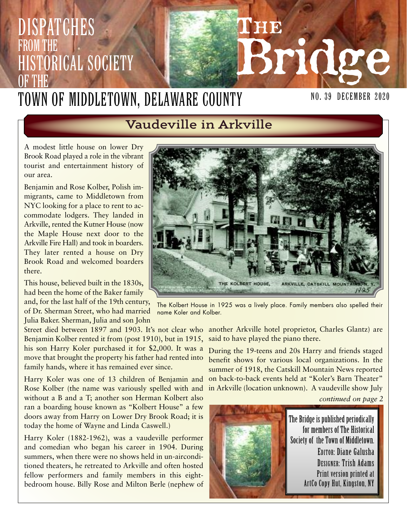#### **THE Bridge** NO. 39 December 2020 Dispatches from the **HISTORICAL SOCIETY** OF THE Town of Middletown, Delaware County

# **Vaudeville in Arkville**

A modest little house on lower Dry Brook Road played a role in the vibrant tourist and entertainment history of our area.

Benjamin and Rose Kolber, Polish immigrants, came to Middletown from NYC looking for a place to rent to accommodate lodgers. They landed in Arkville, rented the Kutner House (now the Maple House next door to the Arkville Fire Hall) and took in boarders. They later rented a house on Dry Brook Road and welcomed boarders there.

This house, believed built in the 1830s, had been the home of the Baker family

and, for the last half of the 19th century, of Dr. Sherman Street, who had married Julia Baker. Sherman, Julia and son John

Street died between 1897 and 1903. It's not clear who another Arkville hotel proprietor, Charles Glantz) are Benjamin Kolber rented it from (post 1910), but in 1915, his son Harry Koler purchased it for \$2,000. It was a move that brought the property his father had rented into family hands, where it has remained ever since.

Harry Koler was one of 13 children of Benjamin and Rose Kolber (the name was variously spelled with and in Arkville (location unknown). A vaudeville show July without a B and a T; another son Herman Kolbert also ran a boarding house known as "Kolbert House" a few doors away from Harry on Lower Dry Brook Road; it is today the home of Wayne and Linda Caswell.)

Harry Koler (1882-1962), was a vaudeville performer and comedian who began his career in 1904. During summers, when there were no shows held in un-airconditioned theaters, he retreated to Arkville and often hosted fellow performers and family members in this eightbedroom house. Billy Rose and Milton Berle (nephew of



The Kolbert House in 1925 was a lively place. Family members also spelled their name Koler and Kolber.

said to have played the piano there.

During the 19-teens and 20s Harry and friends staged benefit shows for various local organizations. In the summer of 1918, the Catskill Mountain News reported on back-to-back events held at "Koler's Barn Theater"

*continued on page 2*

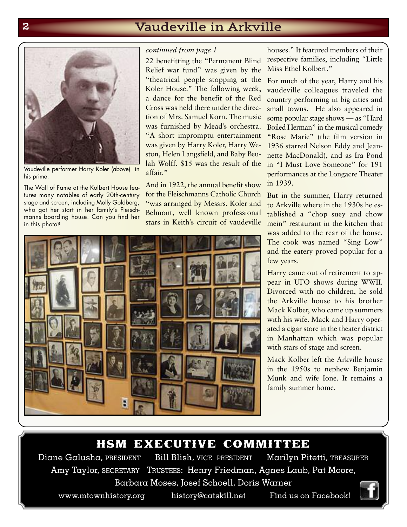# **2 Vaudeville in Arkville**



Vaudeville performer Harry Koler (above) in his prime.

The Wall of Fame at the Kolbert House features many notables of early 20th-century stage and screen, including Molly Goldberg, who got her start in her family's Fleischmanns boarding house. Can you find her in this photo?

#### *continued from page 1*

22 benefitting the "Permanent Blind Relief war fund" was given by the "theatrical people stopping at the Koler House." The following week, a dance for the benefit of the Red Cross was held there under the direction of Mrs. Samuel Korn. The music was furnished by Mead's orchestra. "A short impromptu entertainment was given by Harry Koler, Harry Weston, Helen Langsfield, and Baby Beulah Wolff. \$15 was the result of the affair."

And in 1922, the annual benefit show for the Fleischmanns Catholic Church "was arranged by Messrs. Koler and Belmont, well known professional stars in Keith's circuit of vaudeville

houses." It featured members of their respective families, including "Little Miss Ethel Kolbert."

For much of the year, Harry and his vaudeville colleagues traveled the country performing in big cities and small towns. He also appeared in some popular stage shows — as "Hard Boiled Herman" in the musical comedy "Rose Marie" (the film version in 1936 starred Nelson Eddy and Jeannette MacDonald), and as Ira Pond in "I Must Love Someone" for 191 performances at the Longacre Theater in 1939.

But in the summer, Harry returned to Arkville where in the 1930s he established a "chop suey and chow mein" restaurant in the kitchen that was added to the rear of the house. The cook was named "Sing Low" and the eatery proved popular for a few years.

Harry came out of retirement to appear in UFO shows during WWII. Divorced with no children, he sold the Arkville house to his brother Mack Kolber, who came up summers with his wife. Mack and Harry operated a cigar store in the theater district in Manhattan which was popular with stars of stage and screen.

Mack Kolber left the Arkville house in the 1950s to nephew Benjamin Munk and wife Ione. It remains a family summer home.

#### hsm executive committee

Diane Galusha, PRESIDENT Bill Blish, VICE PRESIDENT Marilyn Pitetti, TREASURER Amy Taylor, SECRETARY TRUSTEES: Henry Friedman, Agnes Laub, Pat Moore, Barbara Moses, Josef Schoell, Doris Warner

www.mtownhistory.org history@catskill.net Find us on Facebook!



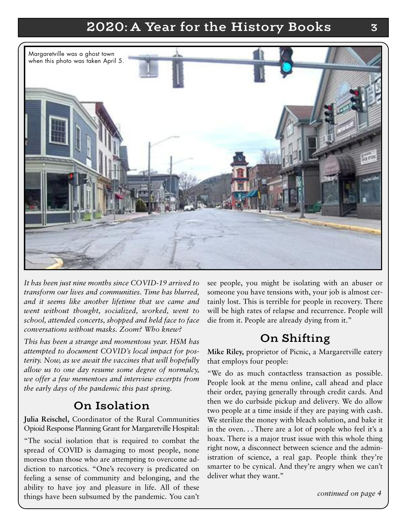# **2020: A Year for the History Books 3**



*It has been just nine months since COVID-19 arrived to transform our lives and communities. Time has blurred, and it seems like another lifetime that we came and went without thought, socialized, worked, went to school, attended concerts, shopped and held face to face conversations without masks. Zoom? Who knew?*

*This has been a strange and momentous year. HSM has attempted to document COVID's local impact for posterity. Now, as we await the vaccines that will hopefully allow us to one day resume some degree of normalcy, we offer a few mementoes and interview excerpts from the early days of the pandemic this past spring.*

#### **On Isolation**

**Julia Reischel,** Coordinator of the Rural Communities Opioid Response Planning Grant for Margaretville Hospital:

"The social isolation that is required to combat the spread of COVID is damaging to most people, none moreso than those who are attempting to overcome addiction to narcotics. "One's recovery is predicated on feeling a sense of community and belonging, and the ability to have joy and pleasure in life. All of these things have been subsumed by the pandemic. You can't see people, you might be isolating with an abuser or someone you have tensions with, your job is almost certainly lost. This is terrible for people in recovery. There will be high rates of relapse and recurrence. People will die from it. People are already dying from it."

### **On Shifting**

**Mike Riley,** proprietor of Picnic, a Margaretville eatery that employs four people:

"We do as much contactless transaction as possible. People look at the menu online, call ahead and place their order, paying generally through credit cards. And then we do curbside pickup and delivery. We do allow two people at a time inside if they are paying with cash. We sterilize the money with bleach solution, and bake it in the oven. . . There are a lot of people who feel it's a hoax. There is a major trust issue with this whole thing right now, a disconnect between science and the administration of science, a real gap. People think they're smarter to be cynical. And they're angry when we can't deliver what they want."

*continued on page 4*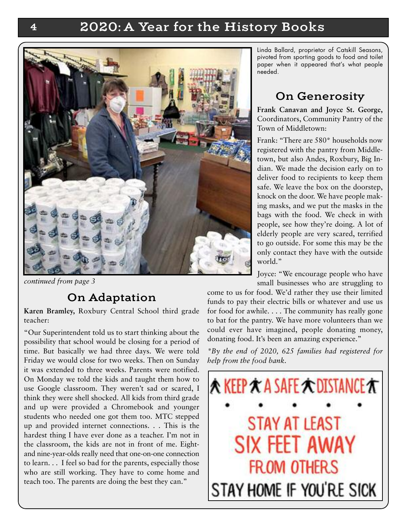## **4 2020: A Year for the History Books**



*continued from page 3*

#### **On Adaptation**

**Karen Bramley,** Roxbury Central School third grade teacher:

"Our Superintendent told us to start thinking about the possibility that school would be closing for a period of time. But basically we had three days. We were told Friday we would close for two weeks. Then on Sunday it was extended to three weeks. Parents were notified. On Monday we told the kids and taught them how to use Google classroom. They weren't sad or scared, I think they were shell shocked. All kids from third grade and up were provided a Chromebook and younger students who needed one got them too. MTC stepped up and provided internet connections. . . This is the hardest thing I have ever done as a teacher. I'm not in the classroom, the kids are not in front of me. Eightand nine-year-olds really need that one-on-one connection to learn. . . I feel so bad for the parents, especially those who are still working. They have to come home and teach too. The parents are doing the best they can."

Linda Ballard, proprietor of Catskill Seasons, pivoted from sporting goods to food and toilet paper when it appeared that's what people needed.

## **On Generosity**

**Frank Canavan and Joyce St. George,** Coordinators, Community Pantry of the Town of Middletown:

Frank: "There are 580\* households now registered with the pantry from Middletown, but also Andes, Roxbury, Big Indian. We made the decision early on to deliver food to recipients to keep them safe. We leave the box on the doorstep, knock on the door. We have people making masks, and we put the masks in the bags with the food. We check in with people, see how they're doing. A lot of elderly people are very scared, terrified to go outside. For some this may be the only contact they have with the outside world."

Joyce: "We encourage people who have small businesses who are struggling to

come to us for food. We'd rather they use their limited funds to pay their electric bills or whatever and use us for food for awhile. . . . The community has really gone to bat for the pantry. We have more volunteers than we could ever have imagined, people donating money, donating food. It's been an amazing experience."

*\*By the end of 2020, 625 families had registered for help from the food bank.*

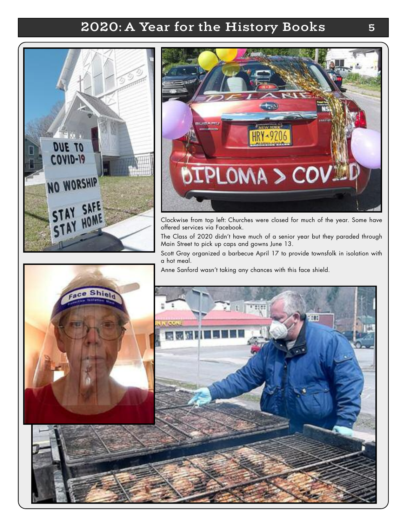# **2020: A Year for the History Books 5**





Clockwise from top left: Churches were closed for much of the year. Some have offered services via Facebook.

The Class of 2020 didn't have much of a senior year but they paraded through Main Street to pick up caps and gowns June 13.

Scott Gray organized a barbecue April 17 to provide townsfolk in isolation with a hot meal.

Anne Sanford wasn't taking any chances with this face shield.

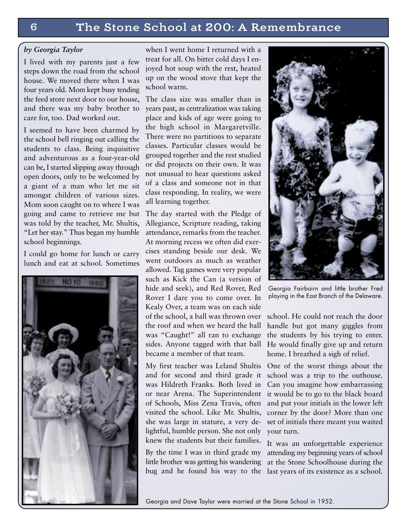#### *by Georgia Taylor*

I lived with my parents just a few steps down the road from the school house. We moved there when I was four years old. Mom kept busy tending the feed store next door to our house, and there was my baby brother to care for, too. Dad worked out.

I seemed to have been charmed by the school bell ringing out calling the students to class. Being inquisitive and adventurous as a four-year-old can be, I started slipping away through open doors, only to be welcomed by a giant of a man who let me sit amongst children of various sizes. Mom soon caught on to where I was going and came to retrieve me but was told by the teacher, Mr. Shultis, "Let her stay." Thus began my humble school beginnings.

I could go home for lunch or carry lunch and eat at school. Sometimes



when I went home I returned with a treat for all. On bitter cold days I enjoyed hot soup with the rest, heated up on the wood stove that kept the school warm.

The class size was smaller than in years past, as centralization was taking place and kids of age were going to the high school in Margaretville. There were no partitions to separate classes. Particular classes would be grouped together and the rest studied or did projects on their own. It was not unusual to hear questions asked of a class and someone not in that class responding. In reality, we were all learning together.

The day started with the Pledge of Allegiance, Scripture reading, taking attendance, remarks from the teacher. At morning recess we often did exercises standing beside our desk. We went outdoors as much as weather allowed. Tag games were very popular such as Kick the Can (a version of hide and seek), and Red Rover, Red Rover I dare you to come over. In Kealy Over, a team was on each side of the school, a ball was thrown over the roof and when we heard the ball was "Caught!" all ran to exchange sides. Anyone tagged with that ball became a member of that team.

My first teacher was Leland Shultis One of the worst things about the and for second and third grade it was Hildreth Franks. Both lived in or near Arena. The Superintendent of Schools, Miss Zena Travis, often visited the school. Like Mr. Shultis, she was large in stature, a very delightful, humble person. She not only your turn. knew the students but their families.

By the time I was in third grade my attending my beginning years of school little brother was getting his wandering at the Stone Schoolhouse during the bug and he found his way to the last years of its existence as a school.



Georgia Fairbairn and little brother Fred playing in the East Branch of the Delaware.

school. He could not reach the door handle but got many giggles from the students by his trying to enter. He would finally give up and return home. I breathed a sigh of relief.

school was a trip to the outhouse. Can you imagine how embarrassing it would be to go to the black board and put your initials in the lower left corner by the door? More than one set of initials there meant you waited

It was an unforgettable experience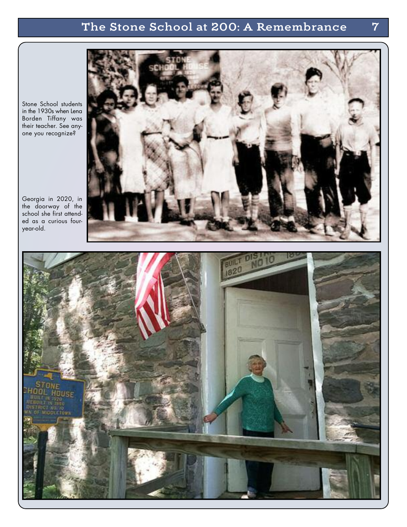## **The Stone School at 200: A Remembrance 7**



Stone School students in the 1930s when Lena Borden Tiffany was their teacher. See anyone you recognize?

Georgia in 2020, in the doorway of the school she first attended as a curious fouryear-old.